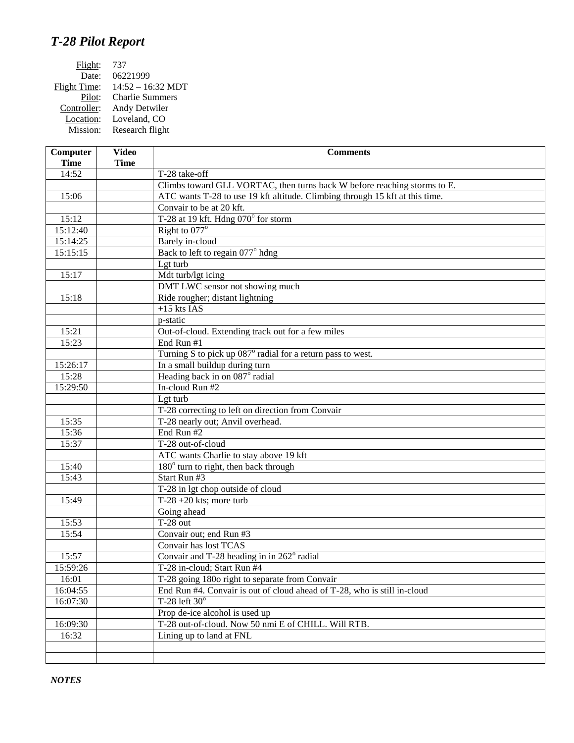## *T-28 Pilot Report*

| 737                    |
|------------------------|
| 06221999               |
| $14:52 - 16:32$ MDT    |
| <b>Charlie Summers</b> |
| Andy Detwiler          |
| Loveland, CO           |
| Research flight        |
|                        |

| Computer    | <b>Video</b> | <b>Comments</b>                                                              |
|-------------|--------------|------------------------------------------------------------------------------|
| <b>Time</b> | <b>Time</b>  |                                                                              |
| 14:52       |              | T-28 take-off                                                                |
|             |              | Climbs toward GLL VORTAC, then turns back W before reaching storms to E.     |
| 15:06       |              | ATC wants T-28 to use 19 kft altitude. Climbing through 15 kft at this time. |
|             |              | Convair to be at 20 kft.                                                     |
| 15:12       |              | T-28 at 19 kft. Hdng 070° for storm                                          |
| 15:12:40    |              | Right to $077^\circ$                                                         |
| 15:14:25    |              | <b>Barely</b> in-cloud                                                       |
| 15:15:15    |              | Back to left to regain 077° hdng                                             |
|             |              | Lgt turb                                                                     |
| 15:17       |              | Mdt turb/lgt icing                                                           |
|             |              | DMT LWC sensor not showing much                                              |
| 15:18       |              | Ride rougher; distant lightning                                              |
|             |              | $+15$ kts IAS                                                                |
|             |              | p-static                                                                     |
| 15:21       |              | Out-of-cloud. Extending track out for a few miles                            |
| 15:23       |              | End Run #1                                                                   |
|             |              | Turning S to pick up 087° radial for a return pass to west.                  |
| 15:26:17    |              | In a small buildup during turn                                               |
| 15:28       |              | Heading back in on 087° radial                                               |
| 15:29:50    |              | In-cloud Run #2                                                              |
|             |              | Lgt turb                                                                     |
|             |              | T-28 correcting to left on direction from Convair                            |
| 15:35       |              | T-28 nearly out; Anvil overhead.                                             |
| 15:36       |              | End Run #2                                                                   |
| 15:37       |              | T-28 out-of-cloud                                                            |
|             |              | ATC wants Charlie to stay above 19 kft                                       |
| 15:40       |              | 180° turn to right, then back through                                        |
| 15:43       |              | Start Run #3                                                                 |
|             |              | T-28 in lgt chop outside of cloud                                            |
| 15:49       |              | T-28 +20 kts; more turb                                                      |
|             |              | Going ahead                                                                  |
| 15:53       |              | $T-28$ out                                                                   |
| 15:54       |              | Convair out; end Run #3                                                      |
|             |              | Convair has lost TCAS                                                        |
| 15:57       |              | Convair and T-28 heading in in 262° radial                                   |
| 15:59:26    |              | T-28 in-cloud; Start Run #4                                                  |
| 16:01       |              | T-28 going 180o right to separate from Convair                               |
| 16:04:55    |              | End Run #4. Convair is out of cloud ahead of T-28, who is still in-cloud     |
| 16:07:30    |              | T-28 left $30^\circ$                                                         |
|             |              | Prop de-ice alcohol is used up                                               |
| 16:09:30    |              | T-28 out-of-cloud. Now 50 nmi E of CHILL. Will RTB.                          |
| 16:32       |              | Lining up to land at FNL                                                     |
|             |              |                                                                              |
|             |              |                                                                              |